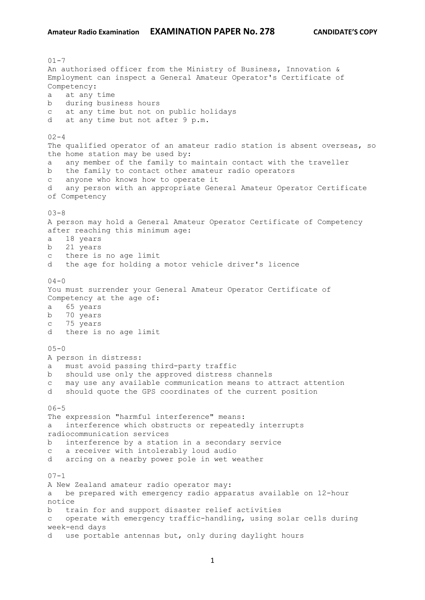$01 - 7$ An authorised officer from the Ministry of Business, Innovation & Employment can inspect a General Amateur Operator's Certificate of Competency: a at any time b during business hours c at any time but not on public holidays d at any time but not after 9 p.m.  $02 - 4$ The qualified operator of an amateur radio station is absent overseas, so the home station may be used by: a any member of the family to maintain contact with the traveller b the family to contact other amateur radio operators c anyone who knows how to operate it d any person with an appropriate General Amateur Operator Certificate of Competency  $03 - 8$ A person may hold a General Amateur Operator Certificate of Competency after reaching this minimum age: a 18 years b 21 years c there is no age limit d the age for holding a motor vehicle driver's licence  $04 - 0$ You must surrender your General Amateur Operator Certificate of Competency at the age of: a 65 years b 70 years c 75 years d there is no age limit  $05 - 0$ A person in distress: a must avoid passing third-party traffic b should use only the approved distress channels c may use any available communication means to attract attention d should quote the GPS coordinates of the current position  $06 - 5$ The expression "harmful interference" means: a interference which obstructs or repeatedly interrupts radiocommunication services b interference by a station in a secondary service c a receiver with intolerably loud audio d arcing on a nearby power pole in wet weather  $07 - 1$ A New Zealand amateur radio operator may: a be prepared with emergency radio apparatus available on 12-hour notice b train for and support disaster relief activities c operate with emergency traffic-handling, using solar cells during week-end days d use portable antennas but, only during daylight hours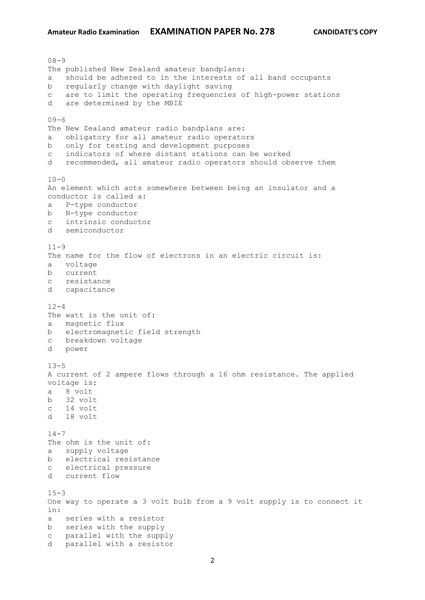08-9 The published New Zealand amateur bandplans: a should be adhered to in the interests of all band occupants b regularly change with daylight saving c are to limit the operating frequencies of high-power stations d are determined by the MBIE  $09 - 6$ The New Zealand amateur radio bandplans are: a obligatory for all amateur radio operators b only for testing and development purposes c indicators of where distant stations can be worked d recommended, all amateur radio operators should observe them  $10 - 0$ An element which acts somewhere between being an insulator and a conductor is called a: a P-type conductor b N-type conductor c intrinsic conductor d semiconductor  $11 - 9$ The name for the flow of electrons in an electric circuit is: a voltage b current c resistance d capacitance  $12 - 4$ The watt is the unit of: a magnetic flux b electromagnetic field strength c breakdown voltage d power  $13 - 5$ A current of 2 ampere flows through a 16 ohm resistance. The applied voltage is: a 8 volt b 32 volt c 14 volt d 18 volt  $14 - 7$ The ohm is the unit of: a supply voltage b electrical resistance c electrical pressure d current flow  $15 - 3$ One way to operate a 3 volt bulb from a 9 volt supply is to connect it in: a series with a resistor b series with the supply c parallel with the supply d parallel with a resistor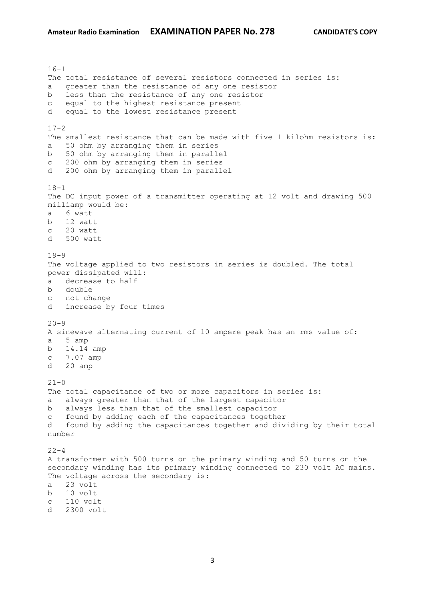$16 - 1$ The total resistance of several resistors connected in series is: a greater than the resistance of any one resistor b less than the resistance of any one resistor c equal to the highest resistance present d equal to the lowest resistance present  $17-2$ The smallest resistance that can be made with five 1 kilohm resistors is: a 50 ohm by arranging them in series b 50 ohm by arranging them in parallel c 200 ohm by arranging them in series d 200 ohm by arranging them in parallel  $18 - 1$ The DC input power of a transmitter operating at 12 volt and drawing 500 milliamp would be: a 6 watt b 12 watt c 20 watt d 500 watt  $19-9$ The voltage applied to two resistors in series is doubled. The total power dissipated will: a decrease to half b double c not change d increase by four times  $20 - 9$ A sinewave alternating current of 10 ampere peak has an rms value of: a 5 amp b 14.14 amp c 7.07 amp d 20 amp  $21 - 0$ The total capacitance of two or more capacitors in series is: a always greater than that of the largest capacitor b always less than that of the smallest capacitor c found by adding each of the capacitances together d found by adding the capacitances together and dividing by their total number  $22 - 4$ A transformer with 500 turns on the primary winding and 50 turns on the secondary winding has its primary winding connected to 230 volt AC mains. The voltage across the secondary is: a 23 volt b 10 volt c 110 volt d 2300 volt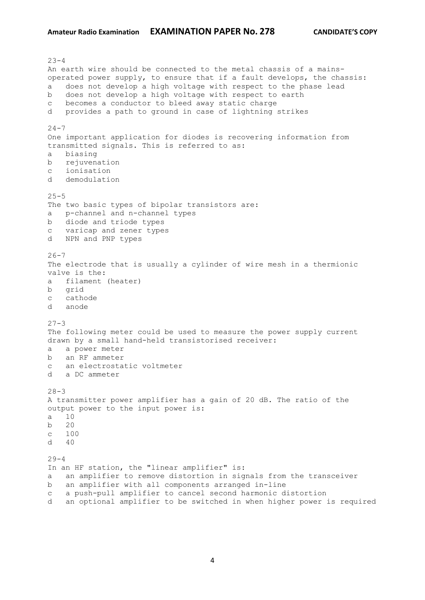$23 - 4$ An earth wire should be connected to the metal chassis of a mainsoperated power supply, to ensure that if a fault develops, the chassis: a does not develop a high voltage with respect to the phase lead b does not develop a high voltage with respect to earth c becomes a conductor to bleed away static charge d provides a path to ground in case of lightning strikes  $24 - 7$ One important application for diodes is recovering information from transmitted signals. This is referred to as: a biasing b rejuvenation c ionisation d demodulation  $25 - 5$ The two basic types of bipolar transistors are: a p-channel and n-channel types b diode and triode types c varicap and zener types d NPN and PNP types  $26 - 7$ The electrode that is usually a cylinder of wire mesh in a thermionic valve is the: a filament (heater) b grid c cathode d anode  $27 - 3$ The following meter could be used to measure the power supply current drawn by a small hand-held transistorised receiver: a a power meter b an RF ammeter c an electrostatic voltmeter d a DC ammeter  $28 - 3$ A transmitter power amplifier has a gain of 20 dB. The ratio of the output power to the input power is: a 10 b 20 c 100  $d \neq 40$  $29 - 4$ In an HF station, the "linear amplifier" is: a an amplifier to remove distortion in signals from the transceiver b an amplifier with all components arranged in-line c a push-pull amplifier to cancel second harmonic distortion d an optional amplifier to be switched in when higher power is required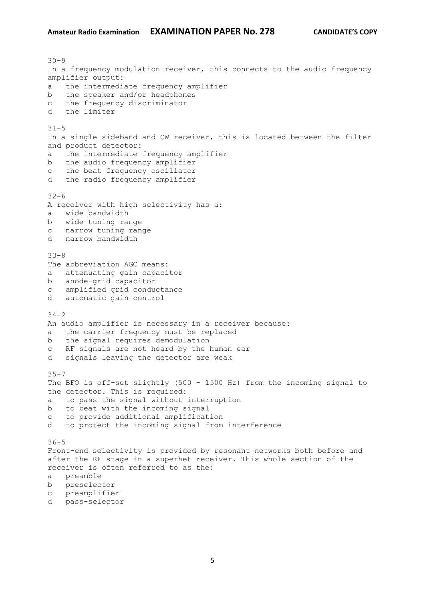$30 - 9$ In a frequency modulation receiver, this connects to the audio frequency amplifier output: a the intermediate frequency amplifier b the speaker and/or headphones c the frequency discriminator d the limiter  $31 - 5$ In a single sideband and CW receiver, this is located between the filter and product detector: a the intermediate frequency amplifier b the audio frequency amplifier c the beat frequency oscillator d the radio frequency amplifier  $32 - 6$ A receiver with high selectivity has a: a wide bandwidth b wide tuning range c narrow tuning range d narrow bandwidth 33-8 The abbreviation AGC means: a attenuating gain capacitor b anode-grid capacitor c amplified grid conductance d automatic gain control  $34 - 2$ An audio amplifier is necessary in a receiver because: a the carrier frequency must be replaced b the signal requires demodulation c RF signals are not heard by the human ear d signals leaving the detector are weak  $35 - 7$ The BFO is off-set slightly (500 - 1500 Hz) from the incoming signal to the detector. This is required: a to pass the signal without interruption b to beat with the incoming signal c to provide additional amplification d to protect the incoming signal from interference 36-5 Front-end selectivity is provided by resonant networks both before and after the RF stage in a superhet receiver. This whole section of the receiver is often referred to as the: a preamble b preselector c preamplifier d pass-selector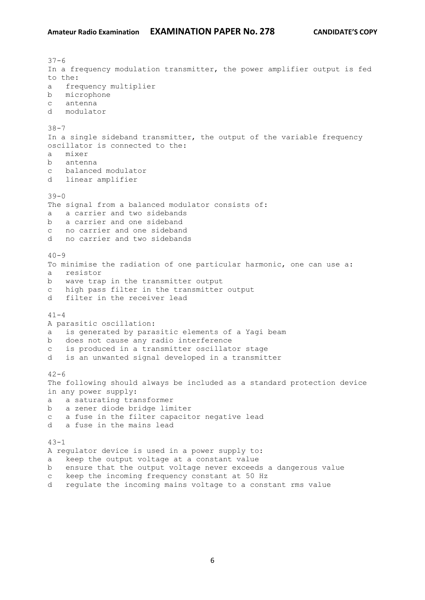$37 - 6$ In a frequency modulation transmitter, the power amplifier output is fed to the: a frequency multiplier b microphone c antenna d modulator 38-7 In a single sideband transmitter, the output of the variable frequency oscillator is connected to the: a mixer b antenna c balanced modulator d linear amplifier  $39 - 0$ The signal from a balanced modulator consists of: a a carrier and two sidebands b a carrier and one sideband c no carrier and one sideband d no carrier and two sidebands  $40 - 9$ To minimise the radiation of one particular harmonic, one can use a: a resistor b wave trap in the transmitter output c high pass filter in the transmitter output d filter in the receiver lead  $41 - 4$ A parasitic oscillation: a is generated by parasitic elements of a Yagi beam b does not cause any radio interference c is produced in a transmitter oscillator stage d is an unwanted signal developed in a transmitter  $42 - 6$ The following should always be included as a standard protection device in any power supply: a a saturating transformer b a zener diode bridge limiter c a fuse in the filter capacitor negative lead d a fuse in the mains lead  $43 - 1$ A regulator device is used in a power supply to: a keep the output voltage at a constant value b ensure that the output voltage never exceeds a dangerous value c keep the incoming frequency constant at 50 Hz

d regulate the incoming mains voltage to a constant rms value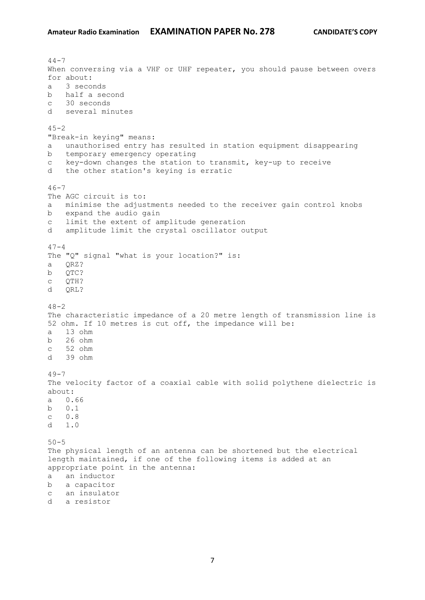$44 - 7$ When conversing via a VHF or UHF repeater, you should pause between overs for about: a 3 seconds b half a second c 30 seconds d several minutes  $45 - 2$ "Break-in keying" means: a unauthorised entry has resulted in station equipment disappearing b temporary emergency operating c key-down changes the station to transmit, key-up to receive d the other station's keying is erratic  $46 - 7$ The AGC circuit is to: a minimise the adjustments needed to the receiver gain control knobs b expand the audio gain c limit the extent of amplitude generation d amplitude limit the crystal oscillator output  $47 - 4$ The "Q" signal "what is your location?" is: a QRZ? b QTC? c QTH? d QRL?  $48 - 2$ The characteristic impedance of a 20 metre length of transmission line is 52 ohm. If 10 metres is cut off, the impedance will be: a 13 ohm b 26 ohm c 52 ohm d 39 ohm  $49 - 7$ The velocity factor of a coaxial cable with solid polythene dielectric is about: a 0.66 b 0.1 c 0.8 d 1.0 50-5 The physical length of an antenna can be shortened but the electrical length maintained, if one of the following items is added at an appropriate point in the antenna: a an inductor b a capacitor c an insulator d a resistor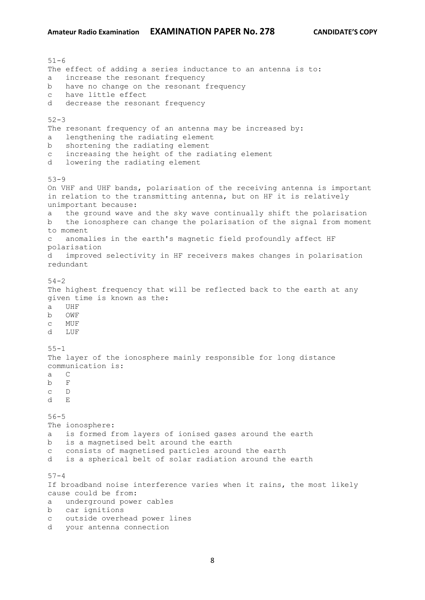51-6 The effect of adding a series inductance to an antenna is to: a increase the resonant frequency b have no change on the resonant frequency c have little effect d decrease the resonant frequency  $52 - 3$ The resonant frequency of an antenna may be increased by: a lengthening the radiating element b shortening the radiating element c increasing the height of the radiating element d lowering the radiating element 53-9 On VHF and UHF bands, polarisation of the receiving antenna is important in relation to the transmitting antenna, but on HF it is relatively unimportant because: a the ground wave and the sky wave continually shift the polarisation b the ionosphere can change the polarisation of the signal from moment to moment c anomalies in the earth's magnetic field profoundly affect HF polarisation d improved selectivity in HF receivers makes changes in polarisation redundant 54-2 The highest frequency that will be reflected back to the earth at any given time is known as the: a UHF b OWF c MUF d LUF 55-1 The layer of the ionosphere mainly responsible for long distance communication is: a C b F c D d E 56-5 The ionosphere: a is formed from layers of ionised gases around the earth b is a magnetised belt around the earth c consists of magnetised particles around the earth d is a spherical belt of solar radiation around the earth  $57 - 4$ If broadband noise interference varies when it rains, the most likely cause could be from: a underground power cables b car ignitions c outside overhead power lines d your antenna connection